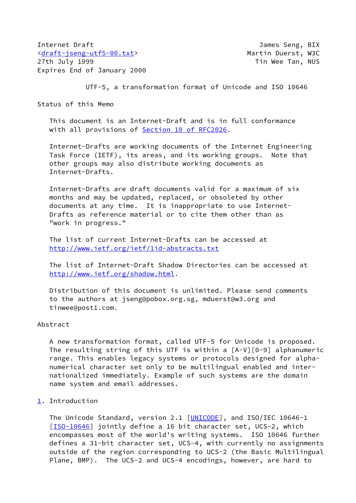Internet Draft James Seng, BIX [<draft-jseng-utf5-00.txt](https://datatracker.ietf.org/doc/pdf/draft-jseng-utf5-00.txt)> Martin Duerst, W3C 27th July 1999 **The Contract of the Contract Oriental** Tin Wee Tan, NUS Expires End of January 2000

UTF-5, a transformation format of Unicode and ISO 10646

Status of this Memo

 This document is an Internet-Draft and is in full conformance with all provisions of Section [10 of RFC2026.](https://datatracker.ietf.org/doc/pdf/rfc2026#section-10)

 Internet-Drafts are working documents of the Internet Engineering Task Force (IETF), its areas, and its working groups. Note that other groups may also distribute working documents as Internet-Drafts.

 Internet-Drafts are draft documents valid for a maximum of six months and may be updated, replaced, or obsoleted by other documents at any time. It is inappropriate to use Internet- Drafts as reference material or to cite them other than as "work in progress."

 The list of current Internet-Drafts can be accessed at <http://www.ietf.org/ietf/1id-abstracts.txt>

 The list of Internet-Draft Shadow Directories can be accessed at <http://www.ietf.org/shadow.html>.

 Distribution of this document is unlimited. Please send comments to the authors at jseng@pobox.org.sg, mduerst@w3.org and tinwee@post1.com.

# Abstract

 A new transformation format, called UTF-5 for Unicode is proposed. The resulting string of this UTF is within a  $[A-V][0-9]$  alphanumeric range. This enables legacy systems or protocols designed for alpha numerical character set only to be multilingual enabled and inter nationalized immediately. Example of such systems are the domain name system and email addresses.

# <span id="page-0-0"></span>[1](#page-0-0). Introduction

The Unicode Standard, version 2.1 [[UNICODE](#page-6-0)], and ISO/IEC 10646-1 [\[ISO-10646](#page-5-0)] jointly define a 16 bit character set, UCS-2, which encompasses most of the world's writing systems. ISO 10646 further defines a 31-bit character set, UCS-4, with currently no assignments outside of the region corresponding to UCS-2 (the Basic Multilingual Plane, BMP). The UCS-2 and UCS-4 encodings, however, are hard to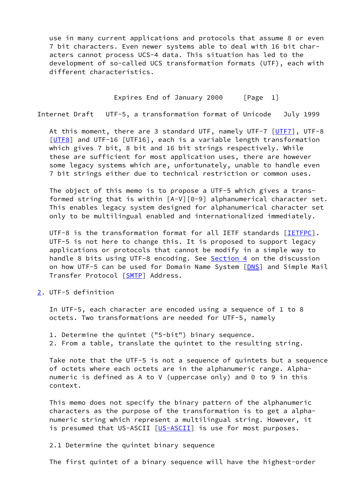use in many current applications and protocols that assume 8 or even 7 bit characters. Even newer systems able to deal with 16 bit char acters cannot process UCS-4 data. This situation has led to the development of so-called UCS transformation formats (UTF), each with different characteristics.

### Expires End of January 2000 [Page 1]

Internet Draft UTF-5, a transformation format of Unicode July 1999

At this moment, there are 3 standard UTF, namely UTF-7 [\[UTF7](#page-6-1)], UTF-8 [\[UTF8](#page-6-2)] and UTF-16 [UTF16], each is a variable length transformation which gives 7 bit, 8 bit and 16 bit strings respectively. While these are sufficient for most application uses, there are however some legacy systems which are, unfortunately, unable to handle even 7 bit strings either due to technical restriction or common uses.

 The object of this memo is to propose a UTF-5 which gives a trans formed string that is within [A-V][0-9] alphanumerical character set. This enables legacy system designed for alphanumerical character set only to be multilingual enabled and internationalized immediately.

UTF-8 is the transformation format for all IETF standards [[IETFPC](#page-6-3)]. UTF-5 is not here to change this. It is proposed to support legacy applications or protocols that cannot be modify in a simple way to handle 8 bits using UTF-8 encoding. See [Section 4](#page-4-0) on the discussion on how UTF-5 can be used for Domain Name System [\[DNS](#page-6-4)] and Simple Mail Transfer Protocol [[SMTP\]](#page-6-5) Address.

<span id="page-1-0"></span>[2](#page-1-0). UTF-5 definition

 In UTF-5, each character are encoded using a sequence of 1 to 8 octets. Two transformations are needed for UTF-5, namely

- 1. Determine the quintet ("5-bit") binary sequence.
- 2. From a table, translate the quintet to the resulting string.

 Take note that the UTF-5 is not a sequence of quintets but a sequence of octets where each octets are in the alphanumeric range. Alpha numeric is defined as A to V (uppercase only) and 0 to 9 in this context.

 This memo does not specify the binary pattern of the alphanumeric characters as the purpose of the transformation is to get a alpha numeric string which represent a multilingual string. However, it is presumed that US-ASCII [[US-ASCII\]](#page-6-6) is use for most purposes.

# 2.1 Determine the quintet binary sequence

The first quintet of a binary sequence will have the highest-order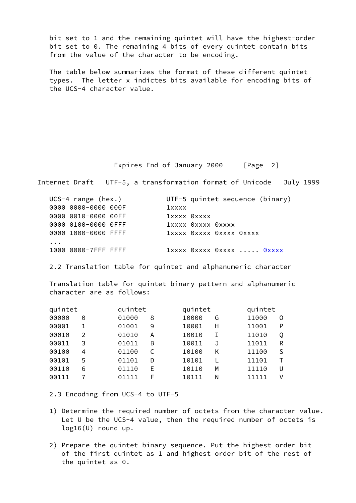bit set to 1 and the remaining quintet will have the highest-order bit set to 0. The remaining 4 bits of every quintet contain bits from the value of the character to be encoding.

 The table below summarizes the format of these different quintet types. The letter x indictes bits available for encoding bits of the UCS-4 character value.

Expires End of January 2000 [Page 2]

Internet Draft UTF-5, a transformation format of Unicode July 1999

| $UCS-4$ range (hex.) |             | UTF-5 quintet sequence (binary) |  |
|----------------------|-------------|---------------------------------|--|
| 0000 0000-0000 000F  | $1$ xxxx    |                                 |  |
| 0000 0010-0000 00FF  | 1xxxx 0xxxx |                                 |  |
| 0000 0100-0000 OFFF  |             | 1xxxx 0xxxx 0xxxx               |  |
| 0000 1000-0000 FFFF  |             | 1xxxx 0xxxx 0xxxx 0xxxx         |  |
| $\cdots$             |             |                                 |  |
| 1000 0000-7FFF FFFF  |             | 1xxxx 0xxxx 0xxxx  0xxxx        |  |

2.2 Translation table for quintet and alphanumeric character

 Translation table for quintet binary pattern and alphanumeric character are as follows:

| quintet |                | quintet |   | quintet |   | quintet |   |
|---------|----------------|---------|---|---------|---|---------|---|
| 00000   | 0              | 01000   | 8 | 10000   | G | 11000   | 0 |
| 00001   |                | 01001   | 9 | 10001   | н | 11001   | P |
| 00010   | $\mathfrak{D}$ | 01010   | Α | 10010   | Ι | 11010   | Q |
| 00011   | 3              | 01011   | B | 10011   | J | 11011   | R |
| 00100   | 4              | 01100   | C | 10100   | Κ | 11100   | S |
| 00101   | 5              | 01101   | D | 10101   | L | 11101   | т |
| 00110   | 6              | 01110   | E | 10110   | M | 11110   | U |
| 00111   |                | 01111   | F | 10111   | N | 11111   | V |

2.3 Encoding from UCS-4 to UTF-5

- 1) Determine the required number of octets from the character value. Let U be the UCS-4 value, then the required number of octets is log16(U) round up.
- 2) Prepare the quintet binary sequence. Put the highest order bit of the first quintet as 1 and highest order bit of the rest of the quintet as 0.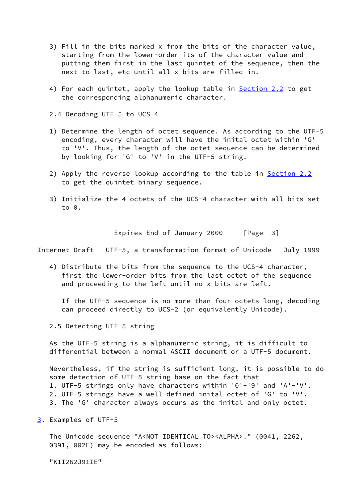- 3) Fill in the bits marked x from the bits of the character value, starting from the lower-order its of the character value and putting them first in the last quintet of the sequence, then the next to last, etc until all x bits are filled in.
- 4) For each quintet, apply the lookup table in Section 2.2 to get the corresponding alphanumeric character.
- 2.4 Decoding UTF-5 to UCS-4
- 1) Determine the length of octet sequence. As according to the UTF-5 encoding, every character will have the inital octet within 'G' to 'V'. Thus, the length of the octet sequence can be determined by looking for 'G' to 'V' in the UTF-5 string.
- 2) Apply the reverse lookup according to the table in Section 2.2 to get the quintet binary sequence.
- 3) Initialize the 4 octets of the UCS-4 character with all bits set to 0.

Expires End of January 2000 [Page 3]

Internet Draft UTF-5, a transformation format of Unicode July 1999

 4) Distribute the bits from the sequence to the UCS-4 character, first the lower-order bits from the last octet of the sequence and proceeding to the left until no x bits are left.

 If the UTF-5 sequence is no more than four octets long, decoding can proceed directly to UCS-2 (or equivalently Unicode).

2.5 Detecting UTF-5 string

 As the UTF-5 string is a alphanumeric string, it is difficult to differential between a normal ASCII document or a UTF-5 document.

 Nevertheless, if the string is sufficient long, it is possible to do some detection of UTF-5 string base on the fact that 1. UTF-5 strings only have characters within '0'-'9' and 'A'-'V'. 2. UTF-5 strings have a well-defined inital octet of 'G' to 'V'. 3. The 'G' character always occurs as the inital and only octet.

<span id="page-3-0"></span>[3](#page-3-0). Examples of UTF-5

 The Unicode sequence "A<NOT IDENTICAL TO><ALPHA>." (0041, 2262, 0391, 002E) may be encoded as follows:

"K1I262J91IE"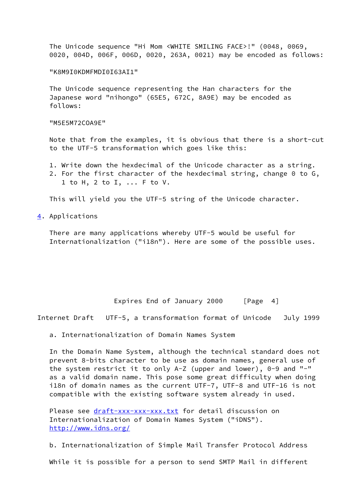The Unicode sequence "Hi Mom <WHITE SMILING FACE>!" (0048, 0069, 0020, 004D, 006F, 006D, 0020, 263A, 0021) may be encoded as follows:

#### "K8M9I0KDMFMDI0I63AI1"

 The Unicode sequence representing the Han characters for the Japanese word "nihongo" (65E5, 672C, 8A9E) may be encoded as follows:

"M5E5M72COA9E"

 Note that from the examples, it is obvious that there is a short-cut to the UTF-5 transformation which goes like this:

- 1. Write down the hexdecimal of the Unicode character as a string.
- 2. For the first character of the hexdecimal string, change 0 to G, 1 to H, 2 to I, ... F to V.

This will yield you the UTF-5 string of the Unicode character.

<span id="page-4-0"></span>[4](#page-4-0). Applications

 There are many applications whereby UTF-5 would be useful for Internationalization ("i18n"). Here are some of the possible uses.

Expires End of January 2000 [Page 4]

Internet Draft UTF-5, a transformation format of Unicode July 1999

a. Internationalization of Domain Names System

 In the Domain Name System, although the technical standard does not prevent 8-bits character to be use as domain names, general use of the system restrict it to only A-Z (upper and lower), 0-9 and "-" as a valid domain name. This pose some great difficulty when doing i18n of domain names as the current UTF-7, UTF-8 and UTF-16 is not compatible with the existing software system already in used.

 Please see [draft-xxx-xxx-xxx.txt](https://datatracker.ietf.org/doc/pdf/draft-xxx-xxx-xxx.txt) for detail discussion on Internationalization of Domain Names System ("iDNS"). <http://www.idns.org/>

b. Internationalization of Simple Mail Transfer Protocol Address

While it is possible for a person to send SMTP Mail in different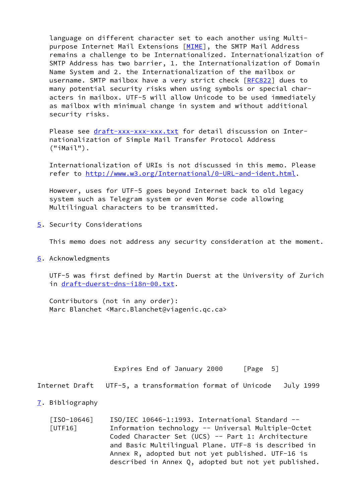language on different character set to each another using Multi- purpose Internet Mail Extensions [\[MIME](#page-6-7)], the SMTP Mail Address remains a challenge to be Internationalized. Internationalization of SMTP Address has two barrier, 1. the Internationalization of Domain Name System and 2. the Internationalization of the mailbox or username. SMTP mailbox have a very strict check [\[RFC822](https://datatracker.ietf.org/doc/pdf/rfc822)] dues to many potential security risks when using symbols or special char acters in mailbox. UTF-5 will allow Unicode to be used immediately as mailbox with minimual change in system and without additional security risks.

Please see [draft-xxx-xxx-xxx.txt](https://datatracker.ietf.org/doc/pdf/draft-xxx-xxx-xxx.txt) for detail discussion on Inter nationalization of Simple Mail Transfer Protocol Address ("iMail").

 Internationalization of URIs is not discussed in this memo. Please refer to<http://www.w3.org/International/0-URL-and-ident.html>.

 However, uses for UTF-5 goes beyond Internet back to old legacy system such as Telegram system or even Morse code allowing Multilingual characters to be transmitted.

<span id="page-5-1"></span>[5](#page-5-1). Security Considerations

This memo does not address any security consideration at the moment.

<span id="page-5-2"></span>[6](#page-5-2). Acknowledgments

 UTF-5 was first defined by Martin Duerst at the University of Zurich in [draft-duerst-dns-i18n-00.txt.](https://datatracker.ietf.org/doc/pdf/draft-duerst-dns-i18n-00.txt)

 Contributors (not in any order): Marc Blanchet <Marc.Blanchet@viagenic.qc.ca>

<span id="page-5-3"></span><span id="page-5-0"></span>

|                               | Expires End of January 2000<br>$\lceil \text{Page} \quad 5 \rceil$                                                                                                                                                                                                       |
|-------------------------------|--------------------------------------------------------------------------------------------------------------------------------------------------------------------------------------------------------------------------------------------------------------------------|
| Internet Draft                | UTF-5, a transformation format of Unicode<br>July 1999                                                                                                                                                                                                                   |
| $\overline{1}$ . Bibliography |                                                                                                                                                                                                                                                                          |
| $[ISO-10646]$<br>[UTF16]      | $ISO/IEC 10646-1:1993. International Standard --$<br>Information technology -- Universal Multiple-Octet<br>Coded Character Set (UCS) -- Part 1: Architecture<br>and Basic Multilingual Plane. UTF-8 is described in<br>Annex R, adopted but not yet published. UTF-16 is |

described in Annex Q, adopted but not yet published.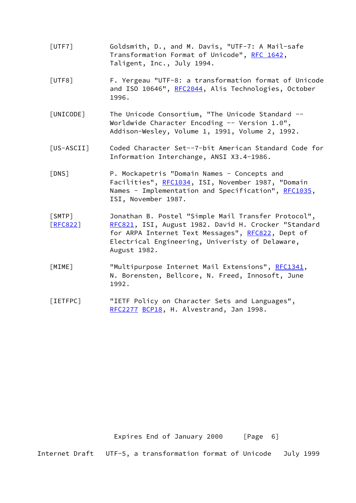- <span id="page-6-1"></span> [UTF7] Goldsmith, D., and M. Davis, "UTF-7: A Mail-safe Transformation Format of Unicode", [RFC 1642](https://datatracker.ietf.org/doc/pdf/rfc1642), Taligent, Inc., July 1994.
- <span id="page-6-2"></span> [UTF8] F. Yergeau "UTF-8: a transformation format of Unicode and ISO 10646", [RFC2044](https://datatracker.ietf.org/doc/pdf/rfc2044), Alis Technologies, October 1996.
- <span id="page-6-0"></span> [UNICODE] The Unicode Consortium, "The Unicode Standard -- Worldwide Character Encoding -- Version 1.0", Addison-Wesley, Volume 1, 1991, Volume 2, 1992.
- <span id="page-6-6"></span> [US-ASCII] Coded Character Set--7-bit American Standard Code for Information Interchange, ANSI X3.4-1986.
- <span id="page-6-4"></span> [DNS] P. Mockapetris "Domain Names - Concepts and Facilities", [RFC1034,](https://datatracker.ietf.org/doc/pdf/rfc1034) ISI, November 1987, "Domain Names - Implementation and Specification", [RFC1035](https://datatracker.ietf.org/doc/pdf/rfc1035), ISI, November 1987.
- <span id="page-6-5"></span> [SMTP] Jonathan B. Postel "Simple Mail Transfer Protocol", [\[RFC822](https://datatracker.ietf.org/doc/pdf/rfc822)] [RFC821](https://datatracker.ietf.org/doc/pdf/rfc821), ISI, August 1982. David H. Crocker "Standard for ARPA Internet Text Messages", [RFC822](https://datatracker.ietf.org/doc/pdf/rfc822), Dept of Electrical Engineering, Univeristy of Delaware, August 1982.
- <span id="page-6-7"></span>[MIME] "Multipurpose Internet Mail Extensions", [RFC1341](https://datatracker.ietf.org/doc/pdf/rfc1341), N. Borensten, Bellcore, N. Freed, Innosoft, June 1992.
- <span id="page-6-3"></span> [IETFPC] "IETF Policy on Character Sets and Languages", [RFC2277](https://datatracker.ietf.org/doc/pdf/rfc2277) [BCP18,](https://datatracker.ietf.org/doc/pdf/bcp18) H. Alvestrand, Jan 1998.

Expires End of January 2000 [Page 6]

Internet Draft UTF-5, a transformation format of Unicode July 1999